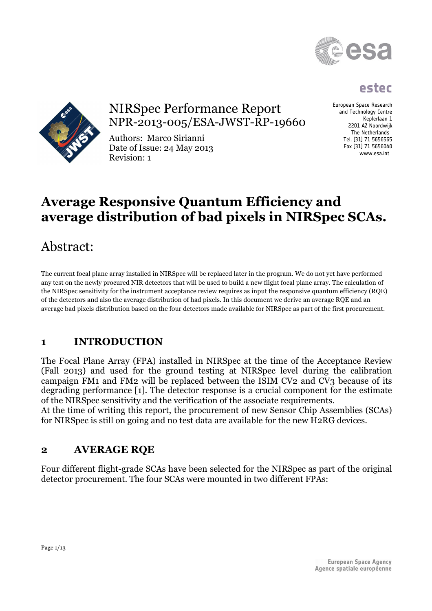

# **estec**



# NIRSpec Performance Report NPR-2013-005/ESA-JWST-RP-19660

Authors: Marco Sirianni Date of Issue: 24 May 2013 Revision: 1

European Space Research and Technology Centre Keplerlaan 1 2201 AZ Noordwijk The Netherlands Tel. (31) 71 5656565 Fax (31) 71 5656040 www.esa.int

# **Average Responsive Quantum Efficiency and average distribution of bad pixels in NIRSpec SCAs.**

# Abstract:

The current focal plane array installed in NIRSpec will be replaced later in the program. We do not yet have performed any test on the newly procured NIR detectors that will be used to build a new flight focal plane array. The calculation of the NIRSpec sensitivity for the instrument acceptance review requires as input the responsive quantum efficiency (RQE) of the detectors and also the average distribution of had pixels. In this document we derive an average RQE and an average bad pixels distribution based on the four detectors made available for NIRSpec as part of the first procurement.

# **1 INTRODUCTION**

The Focal Plane Array (FPA) installed in NIRSpec at the time of the Acceptance Review (Fall 2013) and used for the ground testing at NIRSpec level during the calibration campaign FM1 and FM2 will be replaced between the ISIM CV2 and CV3 because of its degrading performance [1]. The detector response is a crucial component for the estimate of the NIRSpec sensitivity and the verification of the associate requirements.

At the time of writing this report, the procurement of new Sensor Chip Assemblies (SCAs) for NIRSpec is still on going and no test data are available for the new H2RG devices.

# **2 AVERAGE RQE**

Four different flight-grade SCAs have been selected for the NIRSpec as part of the original detector procurement. The four SCAs were mounted in two different FPAs: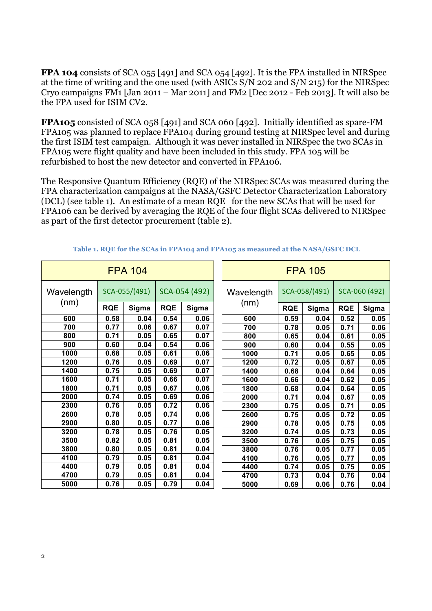**FPA 104** consists of SCA 055 [491] and SCA 054 [492]. It is the FPA installed in NIRSpec at the time of writing and the one used (with ASICs S/N 202 and S/N 215) for the NIRSpec Cryo campaigns FM1 [Jan 2011 – Mar 2011] and FM2 [Dec 2012 - Feb 2013]. It will also be the FPA used for ISIM CV2.

**FPA105** consisted of SCA 058 [491] and SCA 060 [492]. Initially identified as spare-FM FPA105 was planned to replace FPA104 during ground testing at NIRSpec level and during the first ISIM test campaign. Although it was never installed in NIRSpec the two SCAs in FPA105 were flight quality and have been included in this study. FPA 105 will be refurbished to host the new detector and converted in FPA106.

The Responsive Quantum Efficiency (RQE) of the NIRSpec SCAs was measured during the FPA characterization campaigns at the NASA/GSFC Detector Characterization Laboratory (DCL) (see table 1). An estimate of a mean RQE for the new SCAs that will be used for FPA106 can be derived by averaging the RQE of the four flight SCAs delivered to NIRSpec as part of the first detector procurement (table 2).

| <b>FPA 104</b>     |               |       |               | <b>FPA 105</b> |  |            |               |       |               |       |
|--------------------|---------------|-------|---------------|----------------|--|------------|---------------|-------|---------------|-------|
| Wavelength<br>(nm) | SCA-055/(491) |       | SCA-054 (492) |                |  | Wavelength | SCA-058/(491) |       | SCA-060 (492) |       |
|                    | <b>RQE</b>    | Sigma | <b>RQE</b>    | Sigma          |  | (nm)       | <b>RQE</b>    | Sigma | <b>RQE</b>    | Sigma |
| 600                | 0.58          | 0.04  | 0.54          | 0.06           |  | 600        | 0.59          | 0.04  | 0.52          | 0.05  |
| 700                | 0.77          | 0.06  | 0.67          | 0.07           |  | 700        | 0.78          | 0.05  | 0.71          | 0.06  |
| 800                | 0.71          | 0.05  | 0.65          | 0.07           |  | 800        | 0.65          | 0.04  | 0.61          | 0.05  |
| 900                | 0.60          | 0.04  | 0.54          | 0.06           |  | 900        | 0.60          | 0.04  | 0.55          | 0.05  |
| 1000               | 0.68          | 0.05  | 0.61          | 0.06           |  | 1000       | 0.71          | 0.05  | 0.65          | 0.05  |
| 1200               | 0.76          | 0.05  | 0.69          | 0.07           |  | 1200       | 0.72          | 0.05  | 0.67          | 0.05  |
| 1400               | 0.75          | 0.05  | 0.69          | 0.07           |  | 1400       | 0.68          | 0.04  | 0.64          | 0.05  |
| 1600               | 0.71          | 0.05  | 0.66          | 0.07           |  | 1600       | 0.66          | 0.04  | 0.62          | 0.05  |
| 1800               | 0.71          | 0.05  | 0.67          | 0.06           |  | 1800       | 0.68          | 0.04  | 0.64          | 0.05  |
| 2000               | 0.74          | 0.05  | 0.69          | 0.06           |  | 2000       | 0.71          | 0.04  | 0.67          | 0.05  |
| 2300               | 0.76          | 0.05  | 0.72          | 0.06           |  | 2300       | 0.75          | 0.05  | 0.71          | 0.05  |
| 2600               | 0.78          | 0.05  | 0.74          | 0.06           |  | 2600       | 0.75          | 0.05  | 0.72          | 0.05  |
| 2900               | 0.80          | 0.05  | 0.77          | 0.06           |  | 2900       | 0.78          | 0.05  | 0.75          | 0.05  |
| 3200               | 0.78          | 0.05  | 0.76          | 0.05           |  | 3200       | 0.74          | 0.05  | 0.73          | 0.05  |
| 3500               | 0.82          | 0.05  | 0.81          | 0.05           |  | 3500       | 0.76          | 0.05  | 0.75          | 0.05  |
| 3800               | 0.80          | 0.05  | 0.81          | 0.04           |  | 3800       | 0.76          | 0.05  | 0.77          | 0.05  |
| 4100               | 0.79          | 0.05  | 0.81          | 0.04           |  | 4100       | 0.76          | 0.05  | 0.77          | 0.05  |
| 4400               | 0.79          | 0.05  | 0.81          | 0.04           |  | 4400       | 0.74          | 0.05  | 0.75          | 0.05  |
| 4700               | 0.79          | 0.05  | 0.81          | 0.04           |  | 4700       | 0.73          | 0.04  | 0.76          | 0.04  |
| 5000               | 0.76          | 0.05  | 0.79          | 0.04           |  | 5000       | 0.69          | 0.06  | 0.76          | 0.04  |

**Table 1. RQE for the SCAs in FPA104 and FPA105 as measured at the NASA/GSFC DCL**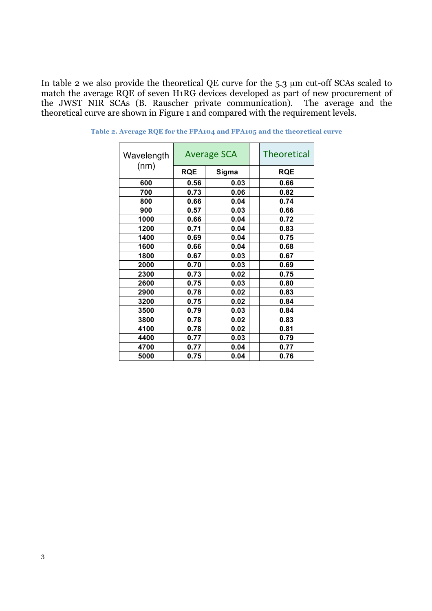In table 2 we also provide the theoretical QE curve for the 5.3 µm cut-off SCAs scaled to match the average RQE of seven H1RG devices developed as part of new procurement of the JWST NIR SCAs (B. Rauscher private communication). The average and the theoretical curve are shown in Figure 1 and compared with the requirement levels.

| Wavelength<br>(nm) | <b>Average SCA</b> |       |  | <b>Theoretical</b> |  |
|--------------------|--------------------|-------|--|--------------------|--|
|                    | <b>RQE</b>         | Sigma |  | <b>RQE</b>         |  |
| 600                | 0.56               | 0.03  |  | 0.66               |  |
| 700                | 0.73               | 0.06  |  | 0.82               |  |
| 800                | 0.66               | 0.04  |  | 0.74               |  |
| 900                | 0.57               | 0.03  |  | 0.66               |  |
| 1000               | 0.66               | 0.04  |  | 0.72               |  |
| 1200               | 0.71               | 0.04  |  | 0.83               |  |
| 1400               | 0.69               | 0.04  |  | 0.75               |  |
| 1600               | 0.66               | 0.04  |  | 0.68               |  |
| 1800               | 0.67               | 0.03  |  | 0.67               |  |
| 2000               | 0.70               | 0.03  |  | 0.69               |  |
| 2300               | 0.73               | 0.02  |  | 0.75               |  |
| 2600               | 0.75               | 0.03  |  | 0.80               |  |
| 2900               | 0.78               | 0.02  |  | 0.83               |  |
| 3200               | 0.75               | 0.02  |  | 0.84               |  |
| 3500               | 0.79               | 0.03  |  | 0.84               |  |
| 3800               | 0.78               | 0.02  |  | 0.83               |  |
| 4100               | 0.78               | 0.02  |  | 0.81               |  |
| 4400               | 0.77               | 0.03  |  | 0.79               |  |
| 4700               | 0.77               | 0.04  |  | 0.77               |  |
| 5000               | 0.75               | 0.04  |  | 0.76               |  |

**Table 2. Average RQE for the FPA104 and FPA105 and the theoretical curve**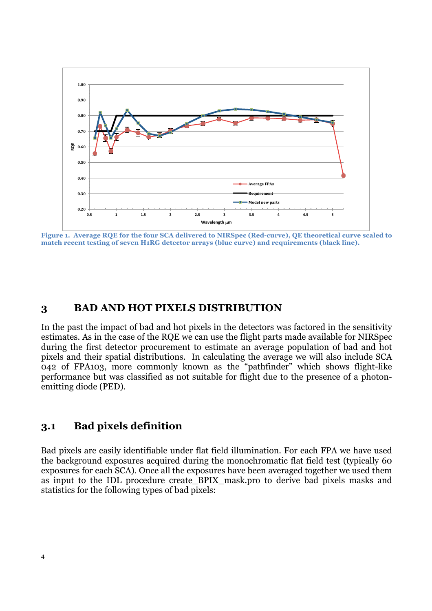

**Figure 1. Average RQE for the four SCA delivered to NIRSpec (Red-curve), QE theoretical curve scaled to match recent testing of seven H1RG detector arrays (blue curve) and requirements (black line).**

#### **3 BAD AND HOT PIXELS DISTRIBUTION**

In the past the impact of bad and hot pixels in the detectors was factored in the sensitivity estimates. As in the case of the RQE we can use the flight parts made available for NIRSpec during the first detector procurement to estimate an average population of bad and hot pixels and their spatial distributions. In calculating the average we will also include SCA 042 of FPA103, more commonly known as the "pathfinder" which shows flight-like performance but was classified as not suitable for flight due to the presence of a photonemitting diode (PED).

### **3.1 Bad pixels definition**

Bad pixels are easily identifiable under flat field illumination. For each FPA we have used the background exposures acquired during the monochromatic flat field test (typically 60 exposures for each SCA). Once all the exposures have been averaged together we used them as input to the IDL procedure create\_BPIX\_mask.pro to derive bad pixels masks and statistics for the following types of bad pixels: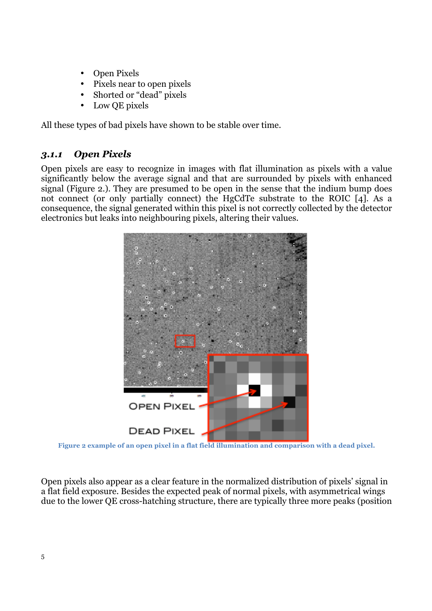- Open Pixels
- Pixels near to open pixels
- Shorted or "dead" pixels
- Low OE pixels

All these types of bad pixels have shown to be stable over time.

## *3.1.1 Open Pixels*

Open pixels are easy to recognize in images with flat illumination as pixels with a value significantly below the average signal and that are surrounded by pixels with enhanced signal (Figure 2.). They are presumed to be open in the sense that the indium bump does not connect (or only partially connect) the HgCdTe substrate to the ROIC [4]. As a consequence, the signal generated within this pixel is not correctly collected by the detector electronics but leaks into neighbouring pixels, altering their values.



**Figure 2 example of an open pixel in a flat field illumination and comparison with a dead pixel.**

Open pixels also appear as a clear feature in the normalized distribution of pixels' signal in a flat field exposure. Besides the expected peak of normal pixels, with asymmetrical wings due to the lower QE cross-hatching structure, there are typically three more peaks (position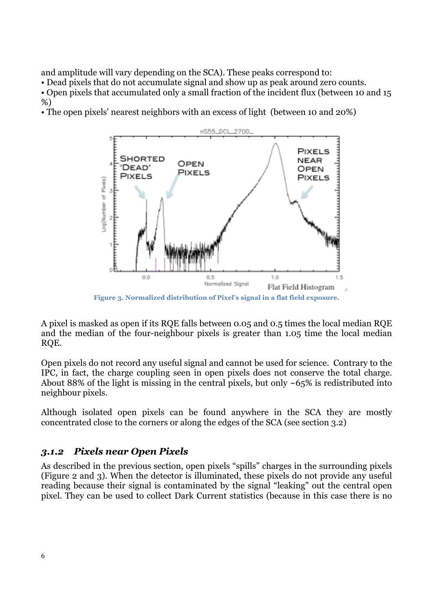and amplitude will vary depending on the SCA). These peaks correspond to:

• Dead pixels that do not accumulate signal and show up as peak around zero counts.

• Open pixels that accumulated only a small fraction of the incident flux (between 10 and 15 %)

• The open pixels' nearest neighbors with an excess of light (between 10 and 20%)



A pixel is masked as open if its RQE falls between 0.05 and 0.5 times the local median RQE and the median of the four-neighbour pixels is greater than 1.05 time the local median RQE.

Open pixels do not record any useful signal and cannot be used for science. Contrary to the IPC, in fact, the charge coupling seen in open pixels does not conserve the total charge. About 88% of the light is missing in the central pixels, but only  $\sim 65\%$  is redistributed into neighbour pixels.

Although isolated open pixels can be found anywhere in the SCA they are mostly concentrated close to the corners or along the edges of the SCA (see section 3.2)

## *3.1.2 Pixels near Open Pixels*

As described in the previous section, open pixels "spills" charges in the surrounding pixels (Figure 2 and 3). When the detector is illuminated, these pixels do not provide any useful reading because their signal is contaminated by the signal "leaking" out the central open pixel. They can be used to collect Dark Current statistics (because in this case there is no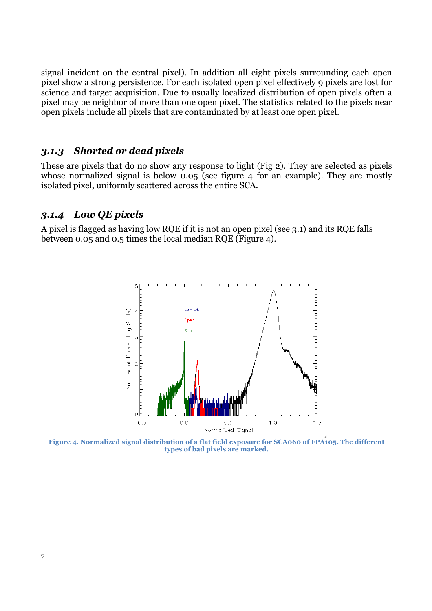signal incident on the central pixel). In addition all eight pixels surrounding each open pixel show a strong persistence. For each isolated open pixel effectively 9 pixels are lost for science and target acquisition. Due to usually localized distribution of open pixels often a pixel may be neighbor of more than one open pixel. The statistics related to the pixels near open pixels include all pixels that are contaminated by at least one open pixel.

#### *3.1.3 Shorted or dead pixels*

These are pixels that do no show any response to light (Fig 2). They are selected as pixels whose normalized signal is below 0.05 (see figure 4 for an example). They are mostly isolated pixel, uniformly scattered across the entire SCA.

#### *3.1.4 Low QE pixels*

A pixel is flagged as having low RQE if it is not an open pixel (see 3.1) and its RQE falls between 0.05 and 0.5 times the local median RQE (Figure 4).



**Figure 4. Normalized signal distribution of a flat field exposure for SCA060 of FPA105. The different types of bad pixels are marked.**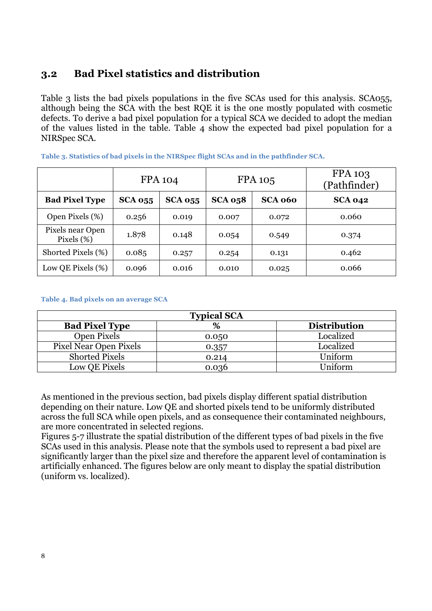## **3.2 Bad Pixel statistics and distribution**

Table 3 lists the bad pixels populations in the five SCAs used for this analysis. SCA055, although being the SCA with the best RQE it is the one mostly populated with cosmetic defects. To derive a bad pixel population for a typical SCA we decided to adopt the median of the values listed in the table. Table 4 show the expected bad pixel population for a NIRSpec SCA.

|                                   | <b>FPA 104</b> |                |                | <b>FPA 105</b> | <b>FPA 103</b><br>(Pathfinder) |
|-----------------------------------|----------------|----------------|----------------|----------------|--------------------------------|
| <b>Bad Pixel Type</b>             | <b>SCA 055</b> | <b>SCA 055</b> | <b>SCA 058</b> | SCA 060        | <b>SCA 042</b>                 |
| Open Pixels (%)                   | 0.256          | 0.019          | 0.007          | 0.072          | 0.060                          |
| Pixels near Open<br>Pixels $(\%)$ | 1.878          | 0.148          | 0.054          | 0.549          | 0.374                          |
| Shorted Pixels (%)                | 0.085          | 0.257          | 0.254          | 0.131          | 0.462                          |
| Low QE Pixels $(\%)$              | 0.096          | 0.016          | 0.010          | 0.025          | 0.066                          |

**Table 3. Statistics of bad pixels in the NIRSpec flight SCAs and in the pathfinder SCA.**

#### **Table 4. Bad pixels on an average SCA**

| <b>Typical SCA</b>     |       |                     |  |  |  |  |
|------------------------|-------|---------------------|--|--|--|--|
| <b>Bad Pixel Type</b>  | %     | <b>Distribution</b> |  |  |  |  |
| Open Pixels            | 0.050 | Localized           |  |  |  |  |
| Pixel Near Open Pixels | 0.357 | Localized           |  |  |  |  |
| <b>Shorted Pixels</b>  | 0.214 | Uniform             |  |  |  |  |
| Low QE Pixels          | 0.036 | Uniform             |  |  |  |  |

As mentioned in the previous section, bad pixels display different spatial distribution depending on their nature. Low QE and shorted pixels tend to be uniformly distributed across the full SCA while open pixels, and as consequence their contaminated neighbours, are more concentrated in selected regions.

Figures 5-7 illustrate the spatial distribution of the different types of bad pixels in the five SCAs used in this analysis. Please note that the symbols used to represent a bad pixel are significantly larger than the pixel size and therefore the apparent level of contamination is artificially enhanced. The figures below are only meant to display the spatial distribution (uniform vs. localized).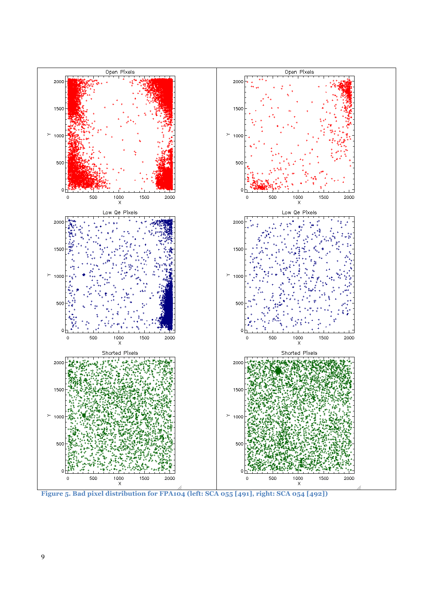

**Figure 5. Bad pixel distribution for FPA104 (left: SCA 055 [491], right: SCA 054 [492])**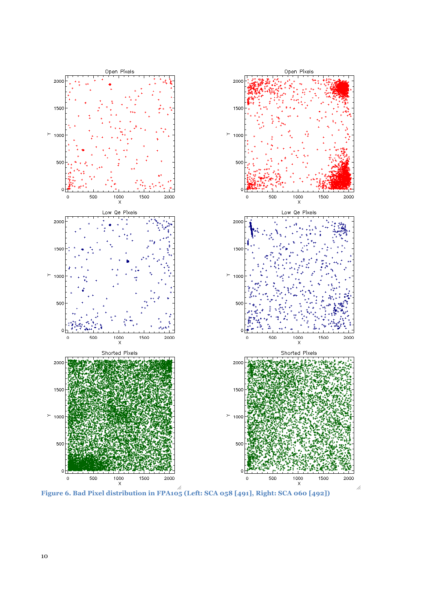

**Figure 6. Bad Pixel distribution in FPA105 (Left: SCA 058 [491], Right: SCA 060 [492])**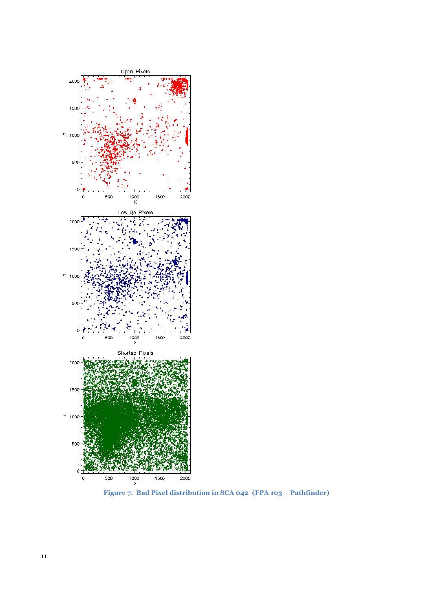

**Figure 7. Bad Pixel distribution in SCA 042 (FPA 103 – Pathfinder)**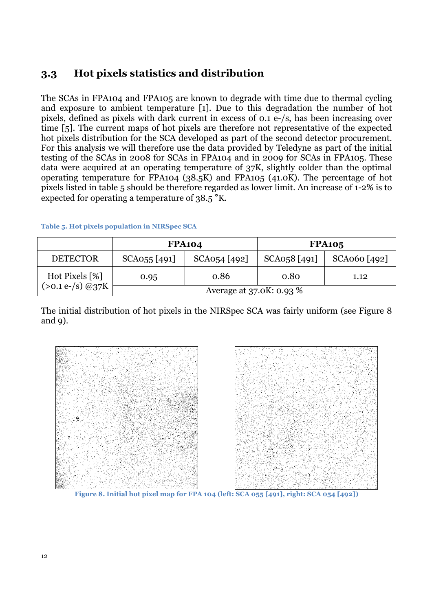# **3.3 Hot pixels statistics and distribution**

The SCAs in FPA104 and FPA105 are known to degrade with time due to thermal cycling and exposure to ambient temperature [1]. Due to this degradation the number of hot pixels, defined as pixels with dark current in excess of 0.1 e-/s, has been increasing over time [5]. The current maps of hot pixels are therefore not representative of the expected hot pixels distribution for the SCA developed as part of the second detector procurement. For this analysis we will therefore use the data provided by Teledyne as part of the initial testing of the SCAs in 2008 for SCAs in FPA104 and in 2009 for SCAs in FPA105. These data were acquired at an operating temperature of 37K, slightly colder than the optimal operating temperature for FPA104 (38.5K) and FPA105 (41.0K). The percentage of hot pixels listed in table 5 should be therefore regarded as lower limit. An increase of 1-2% is to expected for operating a temperature of 38.5 **°**K.

|                                         | <b>FPA104</b>            |              | <b>FPA105</b> |                |  |  |
|-----------------------------------------|--------------------------|--------------|---------------|----------------|--|--|
| <b>DETECTOR</b>                         | SCA055 [491]             | SCA054 [492] | SCA058 [491]  | $SCA060$ [492] |  |  |
| Hot Pixels [%]<br>$(>0.1 e^{-}/s)$ @37K | 0.95                     | 0.86         | 0.80          | 1.12           |  |  |
|                                         | Average at 37.0K: 0.93 % |              |               |                |  |  |

#### **Table 5. Hot pixels population in NIRSpec SCA**

The initial distribution of hot pixels in the NIRSpec SCA was fairly uniform (see Figure 8 and 9).



**Figure 8. Initial hot pixel map for FPA 104 (left: SCA 055 [491], right: SCA 054 [492])**